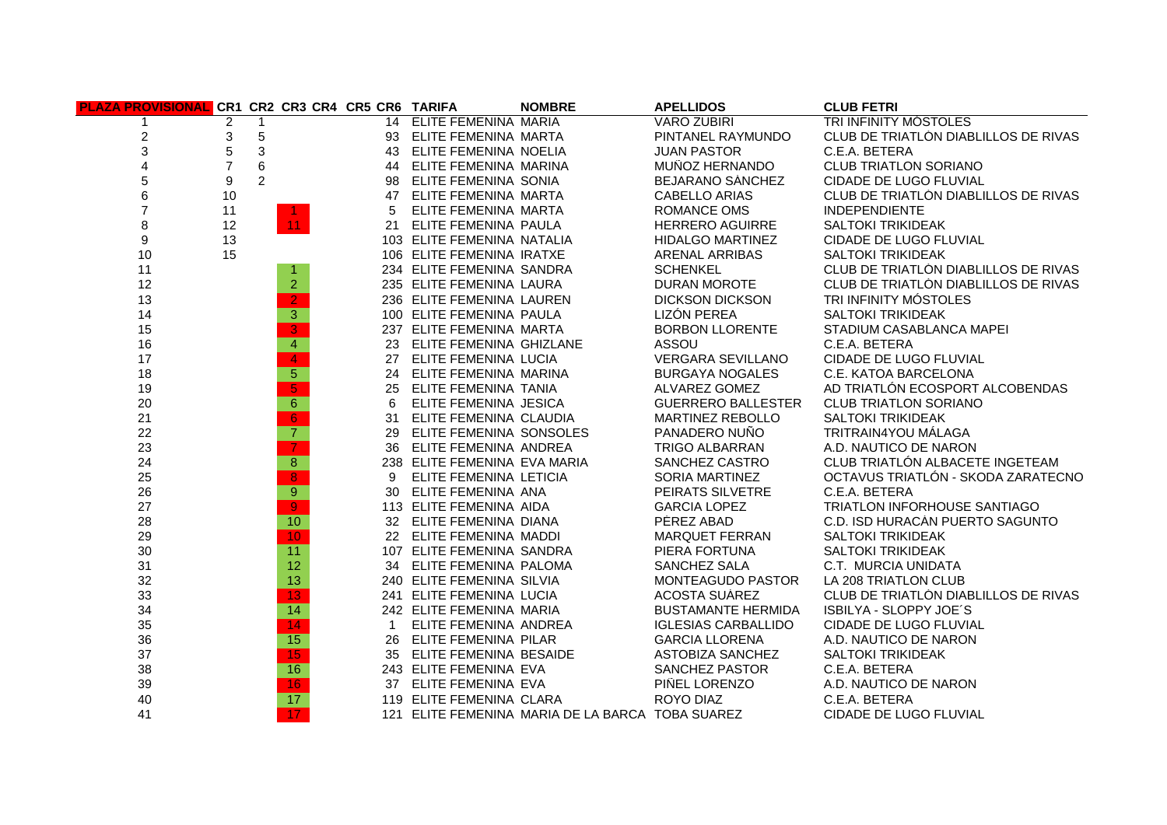| PLAZA PROVISIONAL CR1 CR2 CR3 CR4 CR5 CR6 TARIFA |                |                |                          |              |                              | <b>NOMBRE</b>                                    | <b>APELLIDOS</b>           | <b>CLUB FETRI</b>                    |
|--------------------------------------------------|----------------|----------------|--------------------------|--------------|------------------------------|--------------------------------------------------|----------------------------|--------------------------------------|
|                                                  | $\overline{2}$ | 1              |                          |              | 14 ELITE FEMENINA MARIA      |                                                  | <b>VARO ZUBIRI</b>         | <b>TRI INFINITY MOSTOLES</b>         |
| $\overline{\mathbf{c}}$                          | 3              | 5              |                          |              | 93 ELITE FEMENINA MARTA      |                                                  | PINTANEL RAYMUNDO          | CLUB DE TRIATLÓN DIABLILLOS DE RIVAS |
| 3                                                | $\,$ 5 $\,$    | $\mathfrak{Z}$ |                          |              | 43 ELITE FEMENINA NOELIA     |                                                  | <b>JUAN PASTOR</b>         | C.E.A. BETERA                        |
| 4                                                | $\overline{7}$ | 6              |                          |              | 44 ELITE FEMENINA MARINA     |                                                  | MUÑOZ HERNANDO             | <b>CLUB TRIATLON SORIANO</b>         |
| 5                                                | 9              | $\overline{2}$ |                          |              | 98 ELITE FEMENINA SONIA      |                                                  | BEJARANO SANCHEZ           | CIDADE DE LUGO FLUVIAL               |
| 6                                                | 10             |                |                          |              | 47 ELITE FEMENINA MARTA      |                                                  | <b>CABELLO ARIAS</b>       | CLUB DE TRIATLÓN DIABLILLOS DE RIVAS |
| $\overline{7}$                                   | 11             |                |                          | 5            | ELITE FEMENINA MARTA         |                                                  | ROMANCE OMS                | <b>INDEPENDIENTE</b>                 |
| 8                                                | 12             |                | 11 <sub>1</sub>          |              | 21 ELITE FEMENINA PAULA      |                                                  | <b>HERRERO AGUIRRE</b>     | <b>SALTOKI TRIKIDEAK</b>             |
| 9                                                | 13             |                |                          |              | 103 ELITE FEMENINA NATALIA   |                                                  | <b>HIDALGO MARTINEZ</b>    | CIDADE DE LUGO FLUVIAL               |
| 10                                               | 15             |                |                          |              | 106 ELITE FEMENINA IRATXE    |                                                  | <b>ARENAL ARRIBAS</b>      | <b>SALTOKI TRIKIDEAK</b>             |
| 11                                               |                |                | 1.                       |              | 234 ELITE FEMENINA SANDRA    |                                                  | <b>SCHENKEL</b>            | CLUB DE TRIATLON DIABLILLOS DE RIVAS |
| 12                                               |                |                | $\overline{2}$           |              | 235 ELITE FEMENINA LAURA     |                                                  | <b>DURAN MOROTE</b>        | CLUB DE TRIATLÓN DIABLILLOS DE RIVAS |
| 13                                               |                |                | 2 <sub>1</sub>           |              | 236 ELITE FEMENINA LAUREN    |                                                  | <b>DICKSON DICKSON</b>     | TRI INFINITY MOSTOLES                |
| 14                                               |                |                | $\overline{3}$           |              | 100 ELITE FEMENINA PAULA     |                                                  | LIZÓN PEREA                | <b>SALTOKI TRIKIDEAK</b>             |
| 15                                               |                |                | $\overline{3}$           |              | 237 ELITE FEMENINA MARTA     |                                                  | <b>BORBON LLORENTE</b>     | STADIUM CASABLANCA MAPEI             |
| 16                                               |                |                | $\overline{4}$           |              | 23 ELITE FEMENINA GHIZLANE   |                                                  | ASSOU                      | C.E.A. BETERA                        |
| 17                                               |                |                | $\overline{4}$           |              | 27 ELITE FEMENINA LUCIA      |                                                  | <b>VERGARA SEVILLANO</b>   | CIDADE DE LUGO FLUVIAL               |
| 18                                               |                |                | $\overline{5}$           |              | 24 ELITE FEMENINA MARINA     |                                                  | <b>BURGAYA NOGALES</b>     | C.E. KATOA BARCELONA                 |
| 19                                               |                |                | $\overline{5}$           |              | 25 ELITE FEMENINA TANIA      |                                                  | ALVAREZ GOMEZ              | AD TRIATLON ECOSPORT ALCOBENDAS      |
| 20                                               |                |                | 6                        | 6            | ELITE FEMENINA JESICA        |                                                  | <b>GUERRERO BALLESTER</b>  | <b>CLUB TRIATLON SORIANO</b>         |
| 21                                               |                |                | 6                        |              | 31 ELITE FEMENINA CLAUDIA    |                                                  | MARTINEZ REBOLLO           | <b>SALTOKI TRIKIDEAK</b>             |
| 22                                               |                |                | $\overline{7}$           |              | 29 ELITE FEMENINA SONSOLES   |                                                  | PANADERO NUÑO              | TRITRAIN4YOU MÁLAGA                  |
| 23                                               |                |                | $\overline{\mathcal{T}}$ |              | 36 ELITE FEMENINA ANDREA     |                                                  | <b>TRIGO ALBARRAN</b>      | A.D. NAUTICO DE NARON                |
| 24                                               |                |                | $\overline{8}$           |              | 238 ELITE FEMENINA EVA MARIA |                                                  | SANCHEZ CASTRO             | CLUB TRIATLÓN ALBACETE INGETEAM      |
| 25                                               |                |                | $\overline{8}$           | 9            | ELITE FEMENINA LETICIA       |                                                  | SORIA MARTINEZ             | OCTAVUS TRIATLÓN - SKODA ZARATECNO   |
| 26                                               |                |                | $\overline{9}$           |              | 30 ELITE FEMENINA ANA        |                                                  | PEIRATS SILVETRE           | C.E.A. BETERA                        |
| 27                                               |                |                | $\overline{9}$           |              | 113 ELITE FEMENINA AIDA      |                                                  | <b>GARCIA LOPEZ</b>        | TRIATLON INFORHOUSE SANTIAGO         |
| 28                                               |                |                | 10 <sub>1</sub>          |              | 32 ELITE FEMENINA DIANA      |                                                  | PÉREZ ABAD                 | C.D. ISD HURACÁN PUERTO SAGUNTO      |
| 29                                               |                |                | 10                       |              | 22 ELITE FEMENINA MADDI      |                                                  | MARQUET FERRAN             | <b>SALTOKI TRIKIDEAK</b>             |
| 30                                               |                |                | 11                       |              | 107 ELITE FEMENINA SANDRA    |                                                  | PIERA FORTUNA              | <b>SALTOKI TRIKIDEAK</b>             |
| 31                                               |                |                | 12                       |              | 34 ELITE FEMENINA PALOMA     |                                                  | SANCHEZ SALA               | C.T. MURCIA UNIDATA                  |
| 32                                               |                |                | 13                       |              | 240 ELITE FEMENINA SILVIA    |                                                  | <b>MONTEAGUDO PASTOR</b>   | LA 208 TRIATLON CLUB                 |
| 33                                               |                |                | $\overline{13}$          |              | 241 ELITE FEMENINA LUCIA     |                                                  | <b>ACOSTA SUAREZ</b>       | CLUB DE TRIATLON DIABLILLOS DE RIVAS |
| 34                                               |                |                | $\overline{14}$          |              | 242 ELITE FEMENINA MARIA     |                                                  | <b>BUSTAMANTE HERMIDA</b>  | ISBILYA - SLOPPY JOE'S               |
| 35                                               |                |                | $\overline{14}$          | $\mathbf{1}$ | ELITE FEMENINA ANDREA        |                                                  | <b>IGLESIAS CARBALLIDO</b> | CIDADE DE LUGO FLUVIAL               |
| 36                                               |                |                | 15                       |              | 26 ELITE FEMENINA PILAR      |                                                  | <b>GARCIA LLORENA</b>      | A.D. NAUTICO DE NARON                |
| 37                                               |                |                | 15                       |              | 35 ELITE FEMENINA BESAIDE    |                                                  | ASTOBIZA SANCHEZ           | <b>SALTOKI TRIKIDEAK</b>             |
| 38                                               |                |                | 16                       |              | 243 ELITE FEMENINA EVA       |                                                  | <b>SANCHEZ PASTOR</b>      | C.E.A. BETERA                        |
| 39                                               |                |                | 16                       |              | 37 ELITE FEMENINA EVA        |                                                  | PIÑEL LORENZO              | A.D. NAUTICO DE NARON                |
| 40                                               |                |                | 17                       |              | 119 ELITE FEMENINA CLARA     |                                                  | ROYO DIAZ                  | C.E.A. BETERA                        |
| 41                                               |                |                | 17 <sub>2</sub>          |              |                              | 121 ELITE FEMENINA MARIA DE LA BARCA TOBA SUAREZ |                            | CIDADE DE LUGO FLUVIAL               |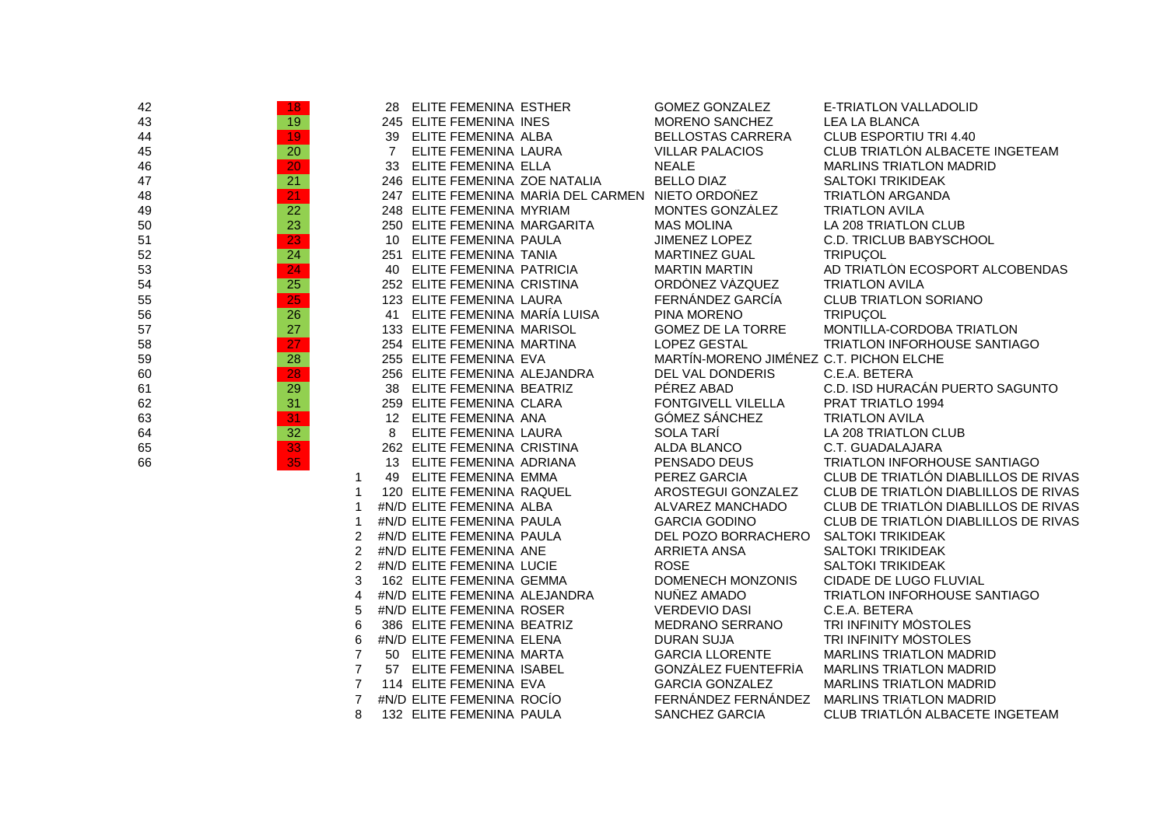| 42 | 18 <sup>°</sup> |                |                | 28 ELITE FEMENINA ESTHER       |                                                   | <b>GOMEZ GONZALEZ</b>                   | E-TRIATLON VALLADOLID                  |
|----|-----------------|----------------|----------------|--------------------------------|---------------------------------------------------|-----------------------------------------|----------------------------------------|
| 43 | 19              |                |                | 245 ELITE FEMENINA INES        |                                                   | MORENO SANCHEZ                          | <b>LEA LA BLANCA</b>                   |
| 44 | 19              |                |                | 39 ELITE FEMENINA ALBA         |                                                   | <b>BELLOSTAS CARRERA</b>                | CLUB ESPORTIU TRI 4.40                 |
| 45 | 20              |                | $\overline{7}$ | ELITE FEMENINA LAURA           |                                                   | <b>VILLAR PALACIOS</b>                  | CLUB TRIATLON ALBACETE INGETEAM        |
| 46 | 20              |                |                | 33 ELITE FEMENINA ELLA         |                                                   | <b>NEALE</b>                            | <b>MARLINS TRIATLON MADRID</b>         |
| 47 | $\overline{21}$ |                |                | 246 ELITE FEMENINA ZOE NATALIA |                                                   | <b>BELLO DIAZ</b>                       | <b>SALTOKI TRIKIDEAK</b>               |
| 48 | 21              |                |                |                                | 247 ELITE FEMENINA MARÍA DEL CARMEN NIETO ORDOÑEZ |                                         | TRIATLÓN ARGANDA                       |
| 49 | $\overline{22}$ |                |                | 248 ELITE FEMENINA MYRIAM      |                                                   | MONTES GONZALEZ                         | <b>TRIATLON AVILA</b>                  |
| 50 | 23              |                |                | 250 ELITE FEMENINA MARGARITA   |                                                   | <b>MAS MOLINA</b>                       | LA 208 TRIATLON CLUB                   |
| 51 | $\overline{23}$ |                |                | 10 ELITE FEMENINA PAULA        |                                                   | <b>JIMENEZ LOPEZ</b>                    | C.D. TRICLUB BABYSCHOOL                |
| 52 | 24              |                |                | 251 ELITE FEMENINA TANIA       |                                                   | <b>MARTINEZ GUAL</b>                    | <b>TRIPUCOL</b>                        |
| 53 | 24              |                |                | 40 ELITE FEMENINA PATRICIA     |                                                   | <b>MARTIN MARTIN</b>                    | AD TRIATLON ECOSPORT ALCOBENDAS        |
| 54 | 25              |                |                | 252 ELITE FEMENINA CRISTINA    |                                                   | ORDONEZ VÁZQUEZ                         | <b>TRIATLON AVILA</b>                  |
| 55 | $\overline{25}$ |                |                | 123 ELITE FEMENINA LAURA       |                                                   | FERNANDEZ GARCIA                        | <b>CLUB TRIATLON SORIANO</b>           |
| 56 | 26              |                |                | 41 ELITE FEMENINA MARIA LUISA  |                                                   | PINA MORENO                             | <b>TRIPUCOL</b>                        |
| 57 | 27              |                |                | 133 ELITE FEMENINA MARISOL     |                                                   | <b>GOMEZ DE LA TORRE</b>                | MONTILLA-CORDOBA TRIATLON              |
| 58 | 27              |                |                | 254 ELITE FEMENINA MARTINA     |                                                   | <b>LOPEZ GESTAL</b>                     | TRIATLON INFORHOUSE SANTIAGO           |
| 59 | 28              |                |                | 255 ELITE FEMENINA EVA         |                                                   | MARTIN-MORENO JIMÉNEZ C.T. PICHON ELCHE |                                        |
| 60 | 28              |                |                | 256 ELITE FEMENINA ALEJANDRA   |                                                   | DEL VAL DONDERIS                        | C.E.A. BETERA                          |
| 61 | 29              |                |                | 38 ELITE FEMENINA BEATRIZ      |                                                   | PÉREZ ABAD                              | C.D. ISD HURACAN PUERTO SAGUNTO        |
| 62 | 31              |                |                | 259 ELITE FEMENINA CLARA       |                                                   | <b>FONTGIVELL VILELLA</b>               | PRAT TRIATLO 1994                      |
| 63 | $\overline{31}$ |                |                | 12 ELITE FEMENINA ANA          |                                                   | <b>GOMEZ SANCHEZ</b>                    | <b>TRIATLON AVILA</b>                  |
| 64 | 32              |                | 8              | ELITE FEMENINA LAURA           |                                                   | SOLA TARÍ                               | LA 208 TRIATLON CLUB                   |
| 65 | $\overline{33}$ |                |                | 262 ELITE FEMENINA CRISTINA    |                                                   | ALDA BLANCO                             | C.T. GUADALAJARA                       |
| 66 | 35              |                |                | 13 ELITE FEMENINA ADRIANA      |                                                   | PENSADO DEUS                            | TRIATLON INFORHOUSE SANTIAGO           |
|    |                 | 1              |                | 49 ELITE FEMENINA EMMA         |                                                   | PEREZ GARCIA                            | CLUB DE TRIATLÓN DIABLILLOS DE RIVAS   |
|    |                 | 1              |                | 120 ELITE FEMENINA RAQUEL      |                                                   | AROSTEGUI GONZALEZ                      | CLUB DE TRIATLÓN DIABLILLOS DE RIVAS   |
|    |                 | 1              |                | #N/D ELITE FEMENINA ALBA       |                                                   | ALVAREZ MANCHADO                        | CLUB DE TRIATLON DIABLILLOS DE RIVAS   |
|    |                 |                |                | #N/D ELITE FEMENINA PAULA      |                                                   | <b>GARCIA GODINO</b>                    | CLUB DE TRIATLÓN DIABLILLOS DE RIVAS   |
|    |                 | 2              |                | #N/D ELITE FEMENINA PAULA      |                                                   | DEL POZO BORRACHERO                     | <b>SALTOKI TRIKIDEAK</b>               |
|    |                 | 2              |                | #N/D ELITE FEMENINA ANE        |                                                   | <b>ARRIETA ANSA</b>                     | <b>SALTOKI TRIKIDEAK</b>               |
|    |                 | $\overline{2}$ |                | #N/D ELITE FEMENINA LUCIE      |                                                   | <b>ROSE</b>                             | <b>SALTOKI TRIKIDEAK</b>               |
|    |                 | 3              |                | 162 ELITE FEMENINA GEMMA       |                                                   | DOMENECH MONZONIS                       | CIDADE DE LUGO FLUVIAL                 |
|    |                 | 4              |                | #N/D ELITE FEMENINA ALEJANDRA  |                                                   | NUÑEZ AMADO                             | TRIATLON INFORHOUSE SANTIAGO           |
|    |                 | 5              |                | #N/D ELITE FEMENINA ROSER      |                                                   | <b>VERDEVIO DASI</b>                    | C.E.A. BETERA                          |
|    |                 | 6              |                | 386 ELITE FEMENINA BEATRIZ     |                                                   | <b>MEDRANO SERRANO</b>                  | TRI INFINITY MOSTOLES                  |
|    |                 | 6              |                | #N/D ELITE FEMENINA ELENA      |                                                   | <b>DURAN SUJA</b>                       | TRI INFINITY MÓSTOLES                  |
|    |                 | $\overline{7}$ |                | 50 ELITE FEMENINA MARTA        |                                                   | <b>GARCIA LLORENTE</b>                  | <b>MARLINS TRIATLON MADRID</b>         |
|    |                 | $\overline{7}$ |                | 57 ELITE FEMENINA ISABEL       |                                                   | GONZÁLEZ FUENTEFRÍA                     | <b>MARLINS TRIATLON MADRID</b>         |
|    |                 | $\overline{7}$ |                | 114 ELITE FEMENINA EVA         |                                                   | <b>GARCIA GONZALEZ</b>                  | <b>MARLINS TRIATLON MADRID</b>         |
|    |                 | $\overline{7}$ |                | #N/D ELITE FEMENINA ROCIO      |                                                   | FERNÁNDEZ FERNÁNDEZ                     | <b>MARLINS TRIATLON MADRID</b>         |
|    |                 | 8              |                | 132 ELITE FEMENINA PAULA       |                                                   | SANCHEZ GARCIA                          | <b>CLUB TRIATLON ALBACETE INGETEAM</b> |